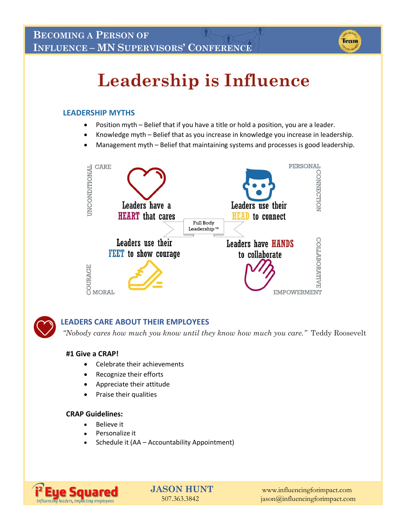

# **Leadership is Influence**

#### **LEADERSHIP MYTHS**

- Position myth Belief that if you have a title or hold a position, you are a leader.
- Knowledge myth Belief that as you increase in knowledge you increase in leadership.
- Management myth Belief that maintaining systems and processes is good leadership.





#### **LEADERS CARE ABOUT THEIR EMPLOYEES**

*"Nobody cares how much you know until they know how much you care."* Teddy Roosevelt

#### **#1 Give a CRAP!**

- Celebrate their achievements
- Recognize their efforts
- Appreciate their attitude
- Praise their qualities

#### **CRAP Guidelines:**

- Believe it
- Personalize it
- Schedule it (AA Accountability Appointment)